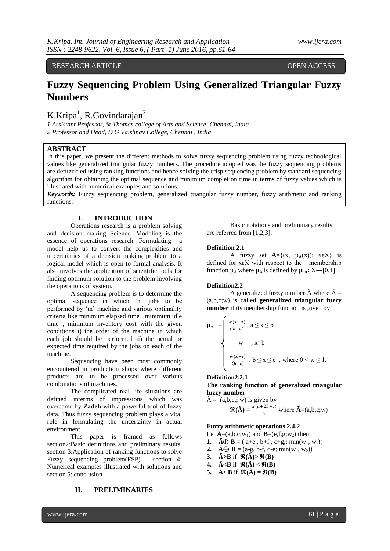RESEARCH ARTICLE OPEN ACCESS

# **Fuzzy Sequencing Problem Using Generalized Triangular Fuzzy Numbers**

# K.Kripa<sup>1</sup>, R.Govindarajan<sup>2</sup>

*1 Assistant Professor, St.Thomas college of Arts and Science, Chennai, India 2 Professor and Head, D G Vaishnav College, Chennai , India*

## **ABSTRACT**

In this paper, we present the different methods to solve fuzzy sequencing problem using fuzzy technological values like generalized triangular fuzzy numbers. The procedure adopted was the fuzzy sequencing problems are defuzzified using ranking functions and hence solving the crisp sequencing problem by standard sequencing algorithm for obtaining the optimal sequence and minimum completion time in terms of fuzzy values which is illustrated with numerical examples and solutions.

*Keywords:* Fuzzy sequencing problem, generalized triangular fuzzy number, fuzzy arithmetic and ranking functions.

## **I. INTRODUCTION**

Operations research is a problem solving and decision making Science. Modeling is the essence of operations research. Formulating a model help us to convert the complexities and uncertainties of a decision making problem to a logical model which is open to formal analysis. It also involves the application of scientific tools for finding optimum solution to the problem involving the operations of system.

A sequencing problem is to determine the optimal sequence in which 'n' jobs to be performed by 'm' machine and various optimality criteria like minimum elapsed time , minimum idle time , minimum inventory cost with the given conditions i) the order of the machine in which each job should be performed ii) the actual or expected time required by the jobs on each of the machine.

Sequencing have been most commonly encountered in production shops where different products are to be processed over various combinations of machines.

The complicated real life situations are defined interms of impressions which was overcame by **Zadeh** with a powerful tool of fuzzy data. Thus fuzzy sequencing problem plays a vital role in formulating the uncertainty in actual environment.

This paper is framed as follows section2:Basic definitions and preliminary results, section 3:Application of ranking functions to solve Fuzzy sequencing problem(FSP) , section 4: Numerical examples illustrated with solutions and section 5: conclusion .

## **II. PRELIMINARIES**

Basic notations and preliminary results are referred from [1,2,3].

#### **Definition 2.1**

A fuzzy set  $A = \{(x, \mu_A(x)) : x \in X\}$  is defined for xεX with respect to the membership function  $\mu_{\tilde{A}}$  where  $\mu_{\tilde{A}}$  is defined by  $\mu_{\tilde{A}}$ : X $\rightarrow$ [0,1]

### **Definition2.2**

 $\overline{r}$ 

A generalized fuzzy number  $\tilde{A}$  where  $\tilde{A}$  = (a,b,c;w) is called **generalized triangular fuzzy number** if its membership function is given by

$$
\mu_{A\Box} = \begin{cases}\n\frac{w(x-a)}{(b-a)}, & a \le x \le b \\
\le w, & x = b\n\end{cases}
$$
\n
$$
\frac{w(x-c)}{(b-c)}, & b \le x \le c, \text{ where } 0 < w \le 1.
$$

### **Definition2.2.1**

**The ranking function of generalized triangular fuzzy number**

$$
\hat{A} = (a,b,c;; w) \text{ is given by}
$$
  

$$
\mathbf{\mathfrak{R}}(\tilde{A}) = \frac{w(a+2b+c)}{4} \text{ where } \tilde{A} = (a,b,c;w)
$$

### **Fuzzy arithmetic operations 2.4.2**

Let  $\tilde{A}=(a,b,c;w_1)$  and  $B=(e,f,g;w_2)$  then

**1.**  $\tilde{A} \oplus B = (a + e, b + f, c + g, \text{min}(w_1, w_2))$ 

- **2.**  $\tilde{A} \Theta \mathbf{B} = (a-g, b-f, c-e; min(w_1, w_2))$
- **3.**  $\tilde{A} > B$  if  $\mathbb{R}(\tilde{A}) > \mathbb{R}(B)$
- **4.**  $\tilde{A} < B$  if  $\mathbb{R}(\tilde{A}) < \mathbb{R}(B)$
- **5.**  $\tilde{A} \approx B$  if  $\mathbb{R}(\tilde{A}) = \mathbb{R}(B)$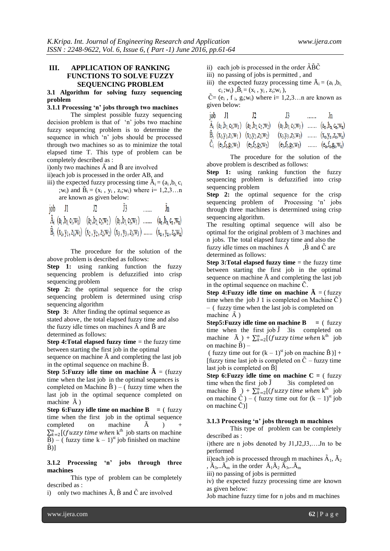## **III. APPLICATION OF RANKING FUNCTIONS TO SOLVE FUZZY SEQUENCING PROBLEM**

## **3.1 Algorithm for solving fuzzy sequencing problem**

## **3.1.1** Processing 'n' jobs through two machines

The simplest possible fuzzy sequencing decision problem is that of 'n' jobs two machine fuzzy sequencing problem is to determine the sequence in which 'n' jobs should be processed through two machines so as to minimize the total elapsed time T. This type of problem can be completely described as :

i)only two machines  $\tilde{A}$  and  $\tilde{B}$  are involved ii)each job is processed in the order AB, and

iii) the expected fuzzy processing time  $\tilde{A}_i = (a_i, b_i, c_i)$  $;w_i$ ) and  $\tilde{B}_i = (x_i, y_i, z_i; w_i)$  where  $i = 1, 2, 3...$  n

are known as given below:

| job |  |                                                                                                                                                                                                                                                                                                    | . |                                                                                                   |
|-----|--|----------------------------------------------------------------------------------------------------------------------------------------------------------------------------------------------------------------------------------------------------------------------------------------------------|---|---------------------------------------------------------------------------------------------------|
|     |  | $\tilde{A}_i$ (a <sub>1</sub> , b <sub>1</sub> , c <sub>1</sub> ; w <sub>1</sub> ) (a <sub>2</sub> , b <sub>2</sub> , c <sub>2</sub> ; w <sub>2</sub> ) (a <sub>3</sub> , b <sub>3</sub> , c <sub>3</sub> ; w <sub>3</sub> )  (a <sub>n</sub> , b <sub>n</sub> , c <sub>n</sub> ; w <sub>n</sub> ) |   |                                                                                                   |
|     |  |                                                                                                                                                                                                                                                                                                    |   | $B_i$ $(X_1, Y_1, Z_1; w_1)$ $(X_2, Y_2, Z_2; w_2)$ $(X_3, Y_3, Z_3; w_3)$ $(X_n, Y_n, Z_n; w_n)$ |

The procedure for the solution of the above problem is described as follows:

**Step 1:** using ranking function the fuzzy sequencing problem is defuzzified into crisp sequencing problem

**Step 2:** the optimal sequence for the crisp sequencing problem is determined using crisp sequencing algorithm

**Step 3:** After finding the optimal sequence as stated above, the total elapsed fuzzy time and also the fuzzy idle times on machines  $\tilde{A}$  and  $\tilde{B}$  are determined as follows:

**Step 4: Total elapsed fuzzy time** = the fuzzy time between starting the first job in the optimal

sequence on machine  $\tilde{A}$  and completing the last job in the optimal sequence on machine B̃.

**Step 5: Fuzzy idle time on machine**  $\tilde{A} =$  **(fuzzy)** time when the last job in the optimal sequences is completed on Machine  $\tilde{B}$ ) – ( fuzzy time when the last job in the optimal sequence completed on machine  $\tilde{A}$ )

**Step 6:Fuzzy idle time on machine B**  $=$  ( fuzzy time when the first job in the optimal sequence completed on machine  $\tilde{A}$  $\sum_{k=2}^{n}$  [(*fuzzy time when* k<sup>th</sup> job starts on machine  $\overline{\tilde{B}}$ ) – (fuzzy time k – 1)<sup>st</sup> job finished on machine  $\tilde{B}$  $\vert$ ]

**3.1.2 Processing̃ 'n'̃ jobs̃ through̃ threẽ machines**

This type of problem can be completely described as :

i) only two machines  $\tilde{A}$ ,  $\tilde{B}$  and  $\tilde{C}$  are involved

- ii) each job is processed in the order  $\tilde{A}\tilde{B}\tilde{C}$
- iii) no passing of jobs is permitted , and
- iii) the expected fuzzy processing time  $\tilde{A}_i = (a_i, b_i)$  $c_i$ ;w<sub>i</sub>), $\tilde{B}_i = (x_i, y_i, z_i; w_i)$ ,

 $\tilde{C}$  = (e<sub>i</sub>, f<sub>i</sub>, g<sub>i</sub>;w<sub>i</sub>) where i = 1,2,3... n are known as given below:

| job J1 | -12.                                                                                                                                              | -13.                                          | 1.1.1.1 | Jn |
|--------|---------------------------------------------------------------------------------------------------------------------------------------------------|-----------------------------------------------|---------|----|
|        | $\tilde{A}_i$ $(a_1, b_1, c_1, w_1)$ $(a_2, b_2, c_2, w_2)$                                                                                       | $(a_3, b_3, c_3; w_3)$ $(a_n, b_n, c_n; w_n)$ |         |    |
|        | $\tilde{B}_i$ (x <sub>1</sub> ,y <sub>1</sub> ,z <sub>1</sub> ,w <sub>1</sub> ) (x <sub>2</sub> ,y <sub>2</sub> ,z <sub>2</sub> ,w <sub>2</sub> ) | $(x_3,y_3, z_3; w_3)$ $(x_n,y_n, z_n; w_n)$   |         |    |
|        | $C_i$ (e <sub>1</sub> ,f <sub>1</sub> ,g <sub>1</sub> ,w <sub>1</sub> ) (e <sub>2</sub> ,f <sub>2</sub> ,g <sub>2</sub> ,w <sub>2</sub> )         | $(e_3, f_3, g_3; w_3)$ $(e_n, f_n, g_n; w_n)$ |         |    |

The procedure for the solution of the above problem is described as follows:

**Step 1:** using ranking function the fuzzy sequencing problem is defuzzified into crisp sequencing problem

**Step 2:** the optimal sequence for the crisp sequencing problem of Processing 'n' jobs through three machines is determined using crisp sequencing algorithm.

The resulting optimal sequence will also be optimal for the original problem of 3 machines and n jobs. The total elapsed fuzzy time and also the fuzzy idle times on machines  $\tilde{A}$ ,  $\tilde{B}$  and  $\tilde{C}$  are determined as follows:

**Step 3: Total elapsed fuzzy time** = the fuzzy time between starting the first job in the optimal sequence on machine  $\tilde{A}$  and completing the last job in the optimal sequence on machine  $\tilde{C}$ .

**Step 4: Fuzzy idle time on machine**  $\tilde{A} = (\text{fuzzy})$ time when the job J 1 is completed on Machine  $\tilde{C}$ ) – ( fuzzy time when the last job is completed on machine  $\tilde{A}$ )

**Step5:Fuzzy idle time on machine B =** ( fuzzy time when the first job  $\tilde{J}$  3is completed on machine  $\tilde{A}_{\mu}$ ) +  $\sum_{k=2}^{n} [(fuzzy\ time\ when\ k^{\text{th}}\ job$ on machine  $\tilde{B}$ ) –

( fuzzy time out for  $(k - 1)$ <sup>st</sup> job on machine  $\tilde{B}$ )] + [fuzzy time last job is completed on  $\tilde{C}$  – fuzzy time last job is completed on B̃]

**Step 6: Fuzzy idle time on machine**  $C = (fuzzy$ time when the first job  $\tilde{J}$  3is completed on machine  $\tilde{B}$   $\rightarrow$  +  $\sum_{k=2}^{n}$  [*(fuzzy time when* k<sup>th</sup> job on machine  $\tilde{C}$ ) – ( fuzzy time out for  $(k - 1)$ <sup>st</sup> job on machine  $\tilde{C}$ )]

#### **3.1.3 Processing̃'n'̃jobs̃through̃m̃machines**

This type of problem can be completely described as :

i)there are n jobs denoted by J1,J2,J3,….Jn to be performed

ii)each job is processed through m machines  $\tilde{A}_1$ ,  $\tilde{A}_2$ ,  $\tilde{A}_3$ ,.. $\tilde{A}_m$  in the order  $\tilde{A}_1 \tilde{A}_2 \tilde{A}_3$ ,... $\tilde{A}_m$ 

iii) no passing of jobs is permitted

iv) the expected fuzzy processing time are known as given below:

Job machine fuzzy time for n jobs and m machines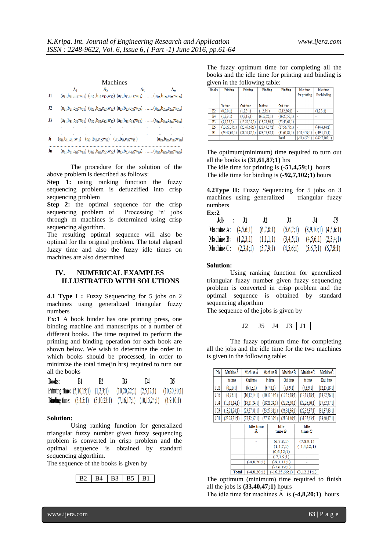|          |    | Machines                                                                                        |               |                                                                                                                                                             |
|----------|----|-------------------------------------------------------------------------------------------------|---------------|-------------------------------------------------------------------------------------------------------------------------------------------------------------|
| J1       | Ãı |                                                                                                 | $\tilde{A}_2$ | $\tilde{A}_3$<br>$A_m$<br>$(a_{11},b_{11},c_{11}:w_{11})$ $(a_{12},b_{12},c_{12};w_{12})$ $(a_{13},b_{13},c_{13};w_{13})$ ( $a_{1m},b_{1m},c_{1m};w_{1m}$ ) |
| J2       |    |                                                                                                 |               | $(a_{21},b_{21},c_{21}w_{21})$ $(a_{22},b_{22},c_{22}w_{22})$ $(a_{23},b_{23},c_{23}w_{23})$ ( $a_{2m},b_{2m},c_{2m}w_{2m}$ )                               |
| J3       |    |                                                                                                 |               | $(a_{31},b_{31},c_{31}w_{31})$ $(a_{32},b_{32},c_{32}w_{32})$ $(a_{33},b_{33},c_{33}w_{33})$ ( $a_{3m},b_{3m},c_{3m}w_{3m}$ )                               |
| ×        |    |                                                                                                 |               |                                                                                                                                                             |
| ٠.<br>Ji |    | $(a_{i1},b_{i1},c_{i1};w_{i1})$ $(a_{i2},b_{i2},c_{i2};w_{i2})$ $(a_{i3},b_{i3},c_{i3};w_{i3})$ |               | the contract of the contract of the contract of the contract of the contract of the contract of<br>$(a_{im},b_{im},c_{im};W_{im})$                          |
| Ĵn       |    |                                                                                                 |               | $(a_{n1},b_{n1},c_{n1}.w_{n1})$ $(a_{n2},b_{n2},c_{n2}.w_{n2})$ $(a_{n3},b_{n3},c_{n3}.w_{n3})$ $(a_{nm},b_{nm},c_{nm}.w_{nm})$                             |

The procedure for the solution of the above problem is described as follows:

**Step 1:** using ranking function the fuzzy sequencing problem is defuzzified into crisp sequencing problem

**Step 2:** the optimal sequence for the crisp sequencing problem of Processing 'n' jobs sequencing problem of through m machines is determined using crisp sequencing algorithm.

The resulting optimal sequence will also be optimal for the original problem. The total elapsed fuzzy time and also the fuzzy idle times on machines are also determined

## **IV. NUMERICAL EXAMPLES ILLUSTRATED WITH SOLUTIONS**

**4.1 Type I :** Fuzzy Sequencing for 5 jobs on 2 machines using generalized triangular fuzzy numbers

**Ex:1** A book binder has one printing press, one binding machine and manuscripts of a number of different books. The time required to perform the printing and binding operation for each book are shown below. We wish to determine the order in which books should be processed, in order to minimize the total time(in hrs) required to turn out all the books

| Books:                                                                            | B1. | B2 | - R3 | B4.                                        | B5. |
|-----------------------------------------------------------------------------------|-----|----|------|--------------------------------------------|-----|
| Printing time: $(5,10,15,1)$ $(1,2,3,1)$                                          |     |    |      | $(10,20,22;1)$ $(2,5,12;1)$ $(10,20,30;1)$ |     |
| Binding time: $(3,4,5,1)$ $(5,10,23,1)$ $(7,16,17,1)$ $(10,15,24,1)$ $(4,9,10,1)$ |     |    |      |                                            |     |

#### **Solution:**

Using ranking function for generalized triangular fuzzy number given fuzzy sequencing problem is converted in crisp problem and the optimal sequence is obtained by standard sequencing algorthim.

The sequence of the books is given by



The fuzzy optimum time for completing all the books and the idle time for printing and binding is given in the following table:

| <b>Books</b>   | Printing        | Printing        | <b>Binding</b>  | <b>Binding</b>  | <b>Idle</b> time  | <b>Idle</b> time  |
|----------------|-----------------|-----------------|-----------------|-----------------|-------------------|-------------------|
|                |                 |                 |                 |                 | for printing      | For binding       |
|                |                 |                 |                 |                 |                   |                   |
|                | In time         | Out time        | In time         | Out time        |                   |                   |
| B2             | (0.0.0:1)       | (1.2.3:1)       | (1.2.3:1)       | (6.12.26:1)     | ÷                 | (1.2.3;1)         |
| B <sub>4</sub> | (1.2.3:1)       | (3.7.15:1)      | (6.12.26:1)     | (16.27.50;1)    |                   |                   |
| B <sub>3</sub> | (3.7.15:1)      | (13.27.37;1)    | (16.27.50:1)    | (23, 43, 67; 1) |                   |                   |
| B <sub>5</sub> | (13.27.37;1)    | (23, 47, 67, 1) | (23, 47, 67, 1) | (27.56.77;1)    |                   | $(-44, 4, 44; 1)$ |
| B1             | (23, 47, 67, 1) | (28, 57, 82; 1) | (28, 57, 82; 1) | (31.61.87;1)    | $(-51, 4, 59, 1)$ | $(-49.1.55;1)$    |
|                |                 |                 |                 | Total           | $(-51.4.59:1)$    | $(-92.7.102:1)$   |

The optimum(minimum) time required to turn out all the books is **(31,61,87;1)** hrs

The idle time for printing is **(-51,4,59;1)** hours The idle time for binding is **(-92,7,102;1)** hours

**4.2Type II:** Fuzzy Sequencing for 5 jobs on 3 machines using generalized triangular fuzzy numbers **Ex:2**

| .                      |           |                         |           |                          |     |
|------------------------|-----------|-------------------------|-----------|--------------------------|-----|
| Job -                  | - 11      | $\sqrt{2}$              | $.13 -$   | .14                      | -15 |
| Macnine A: $(4,5,6,1)$ |           | (6,7,8;1)               | (5,6,7;1) | $(8,9,10,1)$ $(4,5,6,1)$ |     |
| Machine B:             | (1,2,3;1) | (1,1,1;1)               | (3,4,5;1) | $(4,5,6,1)$ $(2,3,4,1)$  |     |
| Machine C:             |           | $(2,3,4,1)$ $(5,7,9,1)$ | (4,5,6,1) | $(5,6,7,1)$ $(6,7,8,1)$  |     |

#### **Solution:**

Using ranking function for generalized triangular fuzzy number given fuzzy sequencing problem is converted in crisp problem and the optimal sequence is obtained by standard sequencing algorthim

The sequence of the jobs is given by



The fuzzy optimum time for completing all the jobs and the idle time for the two machines is given in the following table:

| Job             | Machine A    | Machine A    | Machine B    | Machine B    | Machine C    | Machine C       |
|-----------------|--------------|--------------|--------------|--------------|--------------|-----------------|
|                 | In time      | Out time     | In time      | Out time     | In time      | Out time        |
| $J\square$      | (0.0.0:1)    | (6.7.8:1)    | (6.7.8:1)    | (7,8.9;1)    | (7.8.9:1)    | (12,15,18;1)    |
| JO <sub>5</sub> | (6.7.8:1)    | (10.12.14:1) | (10.12.14:1) | (12.15.18:1) | (12.15.18:1) | (18.22.26:1)    |
| $J\square 4$    | (10.12.14:1) | (18.21.24:1) | (18.21.24:1) | (22.26.30:1) | (22.26.30:1) | (27, 32, 37, 1) |
| $J\square$      | (18.21.24:1) | (23.27.31:1) | (23.27.31:1) | (26.31.36:1) | (22.32.37:1) | (31,37,43;1)    |
| JII             | (23.27.31:1) | (27,32,37;1) | (27.32.37:1) | (28.34.40:1) | (31.37.43:1) | (33.40.47:1)    |

|       | <b>Idle</b> time | Idle           | Idle             |
|-------|------------------|----------------|------------------|
|       |                  | time B         | time C           |
|       |                  |                |                  |
|       |                  | (6,7,8;1)      | (7,8,9;1)        |
|       |                  | (1,4,7;1)      | $(-4, 4, 12; 1)$ |
|       |                  | (0,6,12;1)     |                  |
|       |                  | $(-7,1,9;1)$   |                  |
|       | $(-4,8,20;1)$    | $(-9,1,11;1)$  |                  |
|       |                  | $(-7,6,19;1)$  |                  |
| 'otal | $-4,8,20;1)$     | $-16,25,66;1)$ | (3,12,21;1)      |

The optimum (minimum) time required to finish all the jobs is **(33,40,47;1)** hours

The idle time for machines Ã is **(-4,8,20;1)** hours